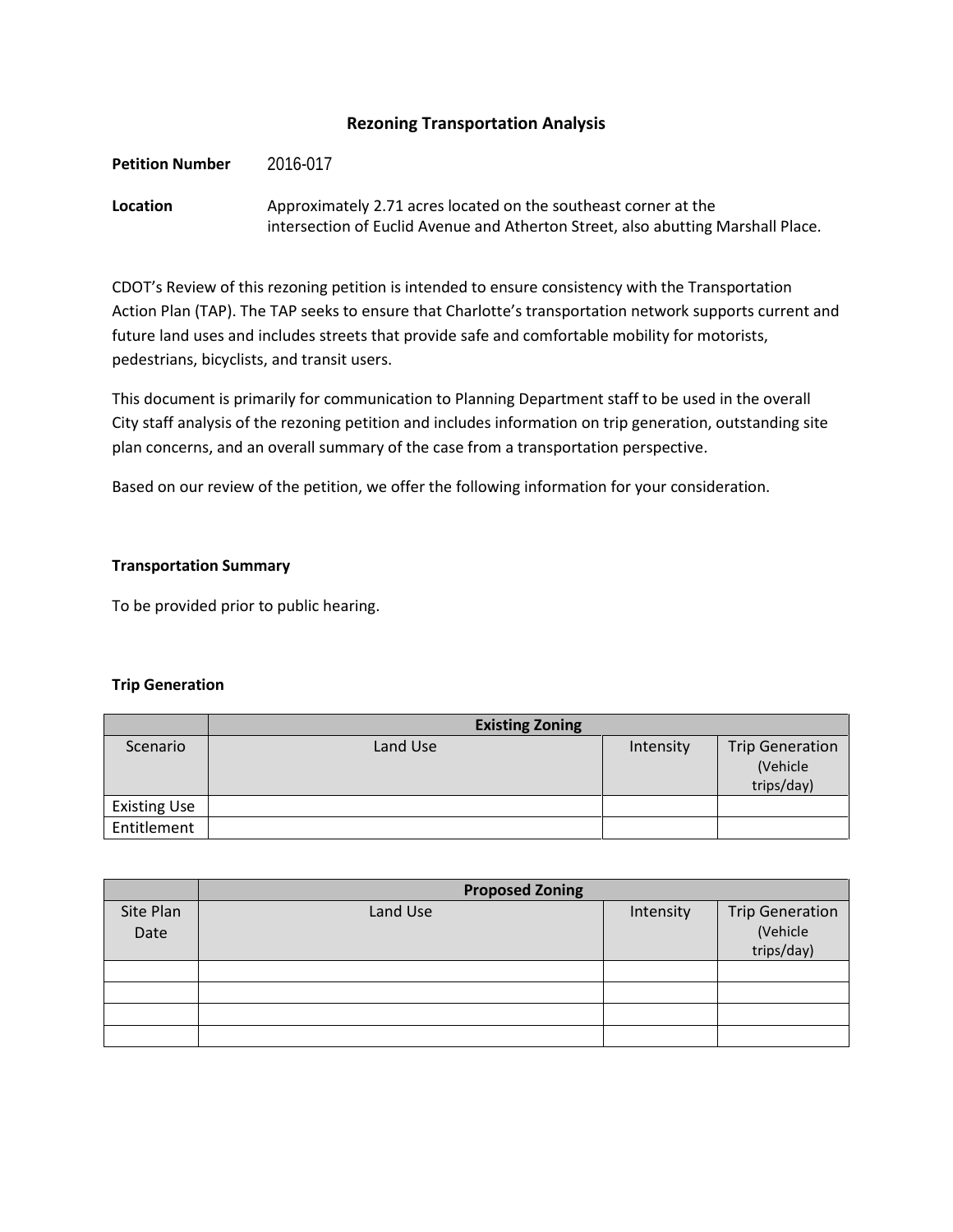# **Rezoning Transportation Analysis**

Petition Number 2016-017

**Location** Approximately 2.71 acres located on the southeast corner at the intersection of Euclid Avenue and Atherton Street, also abutting Marshall Place.

CDOT's Review of this rezoning petition is intended to ensure consistency with the Transportation Action Plan (TAP). The TAP seeks to ensure that Charlotte's transportation network supports current and future land uses and includes streets that provide safe and comfortable mobility for motorists, pedestrians, bicyclists, and transit users.

This document is primarily for communication to Planning Department staff to be used in the overall City staff analysis of the rezoning petition and includes information on trip generation, outstanding site plan concerns, and an overall summary of the case from a transportation perspective.

Based on our review of the petition, we offer the following information for your consideration.

### **Transportation Summary**

To be provided prior to public hearing.

## **Trip Generation**

|                     | <b>Existing Zoning</b> |           |                                                  |
|---------------------|------------------------|-----------|--------------------------------------------------|
| Scenario            | Land Use               | Intensity | <b>Trip Generation</b><br>(Vehicle<br>trips/day) |
| <b>Existing Use</b> |                        |           |                                                  |
| Entitlement         |                        |           |                                                  |

|                   | <b>Proposed Zoning</b> |           |                                                  |  |
|-------------------|------------------------|-----------|--------------------------------------------------|--|
| Site Plan<br>Date | Land Use               | Intensity | <b>Trip Generation</b><br>(Vehicle<br>trips/day) |  |
|                   |                        |           |                                                  |  |
|                   |                        |           |                                                  |  |
|                   |                        |           |                                                  |  |
|                   |                        |           |                                                  |  |